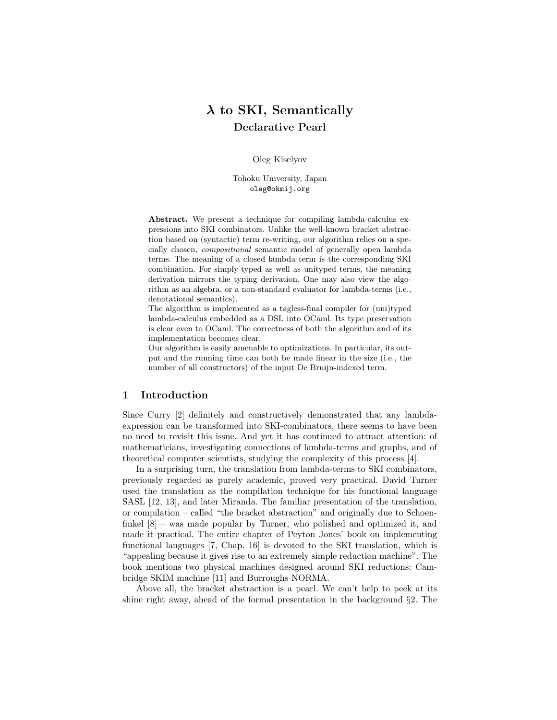# $\lambda$  to SKI, Semantically Declarative Pearl

Oleg Kiselyov

Tohoku University, Japan oleg@okmij.org

Abstract. We present a technique for compiling lambda-calculus expressions into SKI combinators. Unlike the well-known bracket abstraction based on (syntactic) term re-writing, our algorithm relies on a specially chosen, compositional semantic model of generally open lambda terms. The meaning of a closed lambda term is the corresponding SKI combination. For simply-typed as well as unityped terms, the meaning derivation mirrors the typing derivation. One may also view the algorithm as an algebra, or a non-standard evaluator for lambda-terms (i.e., denotational semantics).

The algorithm is implemented as a tagless-final compiler for (uni)typed lambda-calculus embedded as a DSL into OCaml. Its type preservation is clear even to OCaml. The correctness of both the algorithm and of its implementation becomes clear.

Our algorithm is easily amenable to optimizations. In particular, its output and the running time can both be made linear in the size (i.e., the number of all constructors) of the input De Bruijn-indexed term.

# 1 Introduction

Since Curry [2] definitely and constructively demonstrated that any lambdaexpression can be transformed into SKI-combinators, there seems to have been no need to revisit this issue. And yet it has continued to attract attention: of mathematicians, investigating connections of lambda-terms and graphs, and of theoretical computer scientists, studying the complexity of this process [4].

In a surprising turn, the translation from lambda-terms to SKI combinators, previously regarded as purely academic, proved very practical. David Turner used the translation as the compilation technique for his functional language SASL [12, 13], and later Miranda. The familiar presentation of the translation, or compilation – called "the bracket abstraction" and originally due to Schoenfinkel [8] – was made popular by Turner, who polished and optimized it, and made it practical. The entire chapter of Peyton Jones' book on implementing functional languages [7, Chap. 16] is devoted to the SKI translation, which is "appealing because it gives rise to an extremely simple reduction machine". The book mentions two physical machines designed around SKI reductions: Cambridge SKIM machine [11] and Burroughs NORMA.

Above all, the bracket abstraction is a pearl. We can't help to peek at its shine right away, ahead of the formal presentation in the background §2. The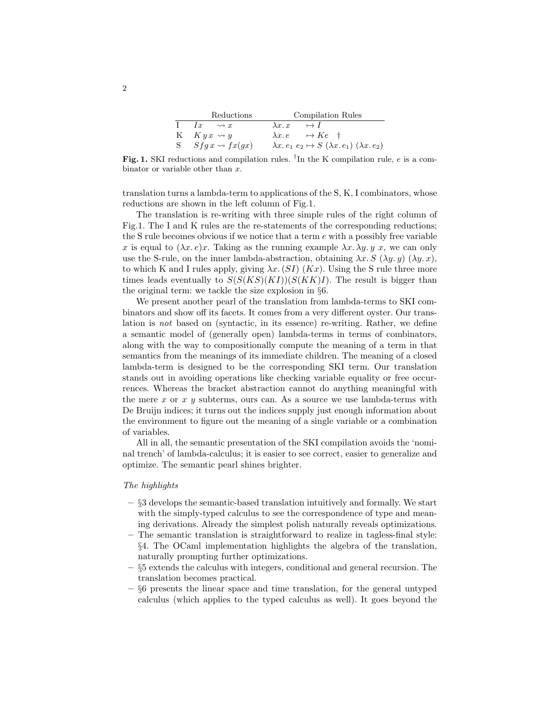|              | Reductions                       | Compilation Rules                                                  |
|--------------|----------------------------------|--------------------------------------------------------------------|
| $\mathbf{I}$ | $\rightsquigarrow$ x<br>$\int x$ | $\lambda x. x$<br>$\rightarrow$ T                                  |
|              | K $K y x \rightsquigarrow y$     | $\lambda x.e \rightarrow K e +$                                    |
|              | S $Sfqx \rightsquigarrow fx(qx)$ | $\lambda x.\,e_1\,e_2 \mapsto S(\lambda x.\,e_1)(\lambda x.\,e_2)$ |

Fig. 1. SKI reductions and compilation rules. <sup>†</sup>In the K compilation rule, e is a combinator or variable other than  $x$ .

translation turns a lambda-term to applications of the S, K, I combinators, whose reductions are shown in the left column of Fig.1.

The translation is re-writing with three simple rules of the right column of Fig.1. The I and K rules are the re-statements of the corresponding reductions; the S rule becomes obvious if we notice that a term e with a possibly free variable x is equal to  $(\lambda x. e)x$ . Taking as the running example  $\lambda x. \lambda y. y x$ , we can only use the S-rule, on the inner lambda-abstraction, obtaining  $\lambda x. S(\lambda y. y) (\lambda y. x)$ , to which K and I rules apply, giving  $\lambda x$ . (SI) (Kx). Using the S rule three more times leads eventually to  $S(S(KS)(KI))(S(KK)I)$ . The result is bigger than the original term: we tackle the size explosion in §6.

We present another pearl of the translation from lambda-terms to SKI combinators and show off its facets. It comes from a very different oyster. Our translation is not based on (syntactic, in its essence) re-writing. Rather, we define a semantic model of (generally open) lambda-terms in terms of combinators, along with the way to compositionally compute the meaning of a term in that semantics from the meanings of its immediate children. The meaning of a closed lambda-term is designed to be the corresponding SKI term. Our translation stands out in avoiding operations like checking variable equality or free occurrences. Whereas the bracket abstraction cannot do anything meaningful with the mere x or  $x$  y subterms, ours can. As a source we use lambda-terms with De Bruijn indices; it turns out the indices supply just enough information about the environment to figure out the meaning of a single variable or a combination of variables.

All in all, the semantic presentation of the SKI compilation avoids the 'nominal trench' of lambda-calculus; it is easier to see correct, easier to generalize and optimize. The semantic pearl shines brighter.

#### The highlights

- §3 develops the semantic-based translation intuitively and formally. We start with the simply-typed calculus to see the correspondence of type and meaning derivations. Already the simplest polish naturally reveals optimizations.
- The semantic translation is straightforward to realize in tagless-final style: §4. The OCaml implementation highlights the algebra of the translation, naturally prompting further optimizations.
- §5 extends the calculus with integers, conditional and general recursion. The translation becomes practical.
- §6 presents the linear space and time translation, for the general untyped calculus (which applies to the typed calculus as well). It goes beyond the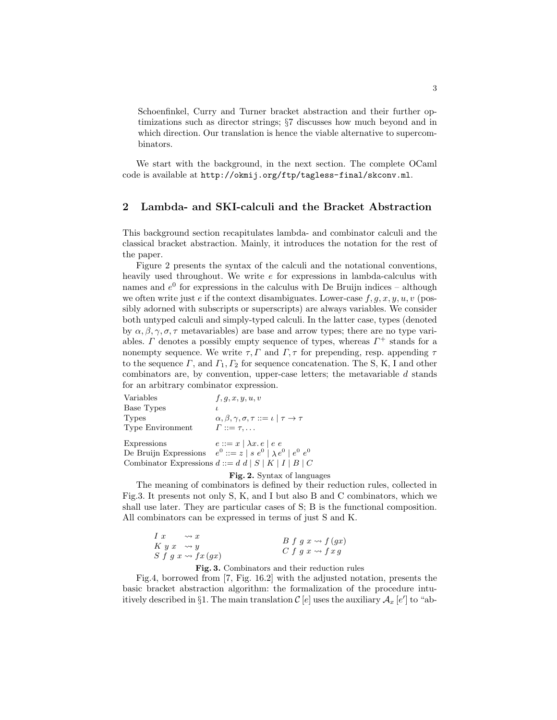Schoenfinkel, Curry and Turner bracket abstraction and their further optimizations such as director strings; §7 discusses how much beyond and in which direction. Our translation is hence the viable alternative to supercombinators.

We start with the background, in the next section. The complete OCaml code is available at http://okmij.org/ftp/tagless-final/skconv.ml.

# 2 Lambda- and SKI-calculi and the Bracket Abstraction

This background section recapitulates lambda- and combinator calculi and the classical bracket abstraction. Mainly, it introduces the notation for the rest of the paper.

Figure 2 presents the syntax of the calculi and the notational conventions, heavily used throughout. We write  $e$  for expressions in lambda-calculus with names and  $e^0$  for expressions in the calculus with De Bruijn indices – although we often write just  $e$  if the context disambiguates. Lower-case  $f, g, x, y, u, v$  (possibly adorned with subscripts or superscripts) are always variables. We consider both untyped calculi and simply-typed calculi. In the latter case, types (denoted by  $\alpha, \beta, \gamma, \sigma, \tau$  metavariables) are base and arrow types; there are no type variables.  $\Gamma$  denotes a possibly empty sequence of types, whereas  $\Gamma^+$  stands for a nonempty sequence. We write  $\tau$ , Γ and Γ, τ for prepending, resp. appending  $\tau$ to the sequence  $\Gamma$ , and  $\Gamma_1, \Gamma_2$  for sequence concatenation. The S, K, I and other combinators are, by convention, upper-case letters; the metavariable  $d$  stands for an arbitrary combinator expression.

| Variables               | f, q, x, y, u, v                                                        |
|-------------------------|-------------------------------------------------------------------------|
| Base Types              |                                                                         |
| Types                   | $\alpha, \beta, \gamma, \sigma, \tau ::= \iota \mid \tau \to \tau$      |
| <b>Type Environment</b> | $\Gamma ::= \tau, \ldots$                                               |
| <b>Expressions</b>      | $e ::= x \mid \lambda x. e \mid e \mid e$                               |
|                         | De Bruijn Expressions $e^0 ::= z   s e^0   \lambda e^0   e^0 e^0$       |
|                         | Combinator Expressions $d ::= d \ d \mid S \mid K \mid I \mid B \mid C$ |
|                         |                                                                         |

Fig. 2. Syntax of languages

The meaning of combinators is defined by their reduction rules, collected in Fig.3. It presents not only S, K, and I but also B and C combinators, which we shall use later. They are particular cases of S; B is the functional composition. All combinators can be expressed in terms of just S and K.

| I x                        | $\rightsquigarrow$ x                | $B f g x \rightsquigarrow f(gx)$ |
|----------------------------|-------------------------------------|----------------------------------|
| $K y x \rightsquigarrow y$ |                                     | $C f g x \rightsquigarrow f x g$ |
|                            | S f g x $\rightsquigarrow$ f x (gx) |                                  |

Fig. 3. Combinators and their reduction rules

Fig.4, borrowed from [7, Fig. 16.2] with the adjusted notation, presents the basic bracket abstraction algorithm: the formalization of the procedure intuitively described in §1. The main translation  $\mathcal{C} [e]$  uses the auxiliary  $\mathcal{A}_x [e']$  to "ab-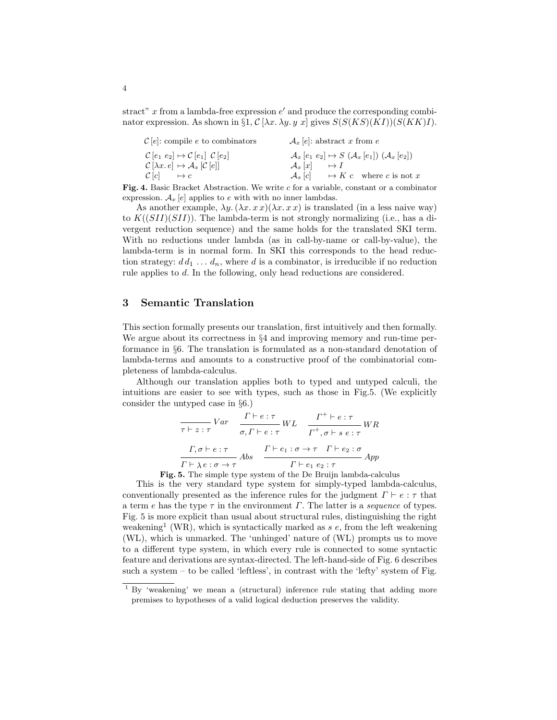stract"  $x$  from a lambda-free expression  $e'$  and produce the corresponding combinator expression. As shown in §1,  $\mathcal{C}[\lambda x, \lambda y, y, x]$  gives  $S(S(KS)(KI))(S(KK)I)$ .

| $\mathcal{C}[e]$ : compile e to combinators                          | $\mathcal{A}_x$ [e]: abstract x from e                                                      |
|----------------------------------------------------------------------|---------------------------------------------------------------------------------------------|
| $\mathcal{C}[e_1 \ e_2] \mapsto \mathcal{C}[e_1] \ \mathcal{C}[e_2]$ | $\mathcal{A}_x$ $[e_1 \ e_2] \mapsto S \ (\mathcal{A}_x \ [e_1]) \ (\mathcal{A}_x \ [e_2])$ |
| $\mathcal{C}[\lambda x. e] \mapsto \mathcal{A}_x[\mathcal{C}[e]]$    | $\mathcal{A}_x[x] \longrightarrow I$                                                        |
| $\mathcal{C}[c] \longrightarrow c$                                   | $\mathcal{A}_x[c] \longrightarrow K c$ where c is not x                                     |

Fig. 4. Basic Bracket Abstraction. We write  $c$  for a variable, constant or a combinator expression.  $A_x[e]$  applies to e with with no inner lambdas.

As another example,  $\lambda y$ .  $(\lambda x. x x)(\lambda x. x x)$  is translated (in a less naive way) to  $K((SII)(SII))$ . The lambda-term is not strongly normalizing (i.e., has a divergent reduction sequence) and the same holds for the translated SKI term. With no reductions under lambda (as in call-by-name or call-by-value), the lambda-term is in normal form. In SKI this corresponds to the head reduction strategy:  $d d_1 \ldots d_n$ , where d is a combinator, is irreducible if no reduction rule applies to d. In the following, only head reductions are considered.

# 3 Semantic Translation

This section formally presents our translation, first intuitively and then formally. We argue about its correctness in §4 and improving memory and run-time performance in §6. The translation is formulated as a non-standard denotation of lambda-terms and amounts to a constructive proof of the combinatorial completeness of lambda-calculus.

Although our translation applies both to typed and untyped calculi, the intuitions are easier to see with types, such as those in Fig.5. (We explicitly consider the untyped case in §6.)

$$
\frac{\Gamma \vdash e : \tau}{\tau \vdash z : \tau} \text{Var} \quad \frac{\Gamma \vdash e : \tau}{\sigma, \Gamma \vdash e : \tau} \text{WL} \quad \frac{\Gamma^+ \vdash e : \tau}{\Gamma^+, \sigma \vdash s e : \tau} \text{WR}
$$
\n
$$
\frac{\Gamma, \sigma \vdash e : \tau}{\Gamma \vdash \lambda e : \sigma \rightarrow \tau} \text{Abs} \quad \frac{\Gamma \vdash e_1 : \sigma \rightarrow \tau \quad \Gamma \vdash e_2 : \sigma}{\Gamma \vdash e_1 \ e_2 : \tau} \text{App}
$$

Fig. 5. The simple type system of the De Bruijn lambda-calculus

This is the very standard type system for simply-typed lambda-calculus, conventionally presented as the inference rules for the judgment  $\Gamma \vdash e : \tau$  that a term e has the type  $\tau$  in the environment  $\Gamma$ . The latter is a *sequence* of types. Fig. 5 is more explicit than usual about structural rules, distinguishing the right weakening<sup>1</sup> (WR), which is syntactically marked as  $s e$ , from the left weakening (WL), which is unmarked. The 'unhinged' nature of (WL) prompts us to move to a different type system, in which every rule is connected to some syntactic feature and derivations are syntax-directed. The left-hand-side of Fig. 6 describes such a system  $-$  to be called 'leftless', in contrast with the 'lefty' system of Fig.

<sup>1</sup> By 'weakening' we mean a (structural) inference rule stating that adding more premises to hypotheses of a valid logical deduction preserves the validity.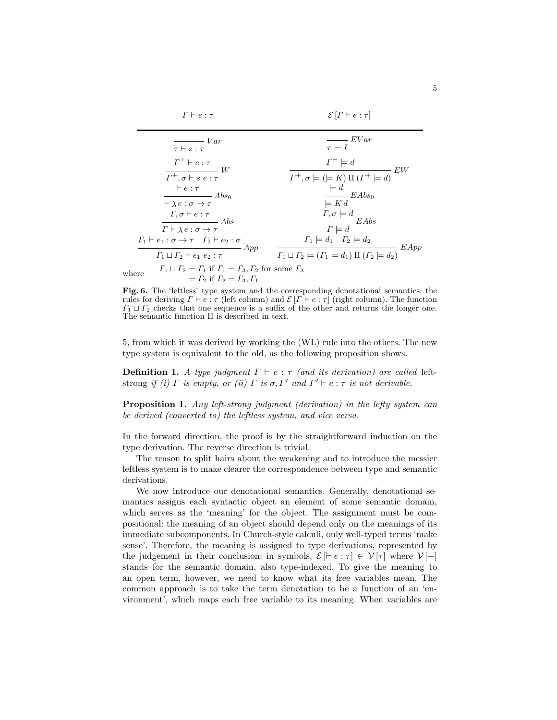|  | ×<br>ı |  |  |  |
|--|--------|--|--|--|
|--|--------|--|--|--|

 $\mathcal{E} \left[ \Gamma \vdash e : \tau \right]$ 

|       | $\frac{1}{\sqrt{1-x}}$<br>$\tau \vdash z : \tau$                                                                                                                                                                                                                                                                                                                                                                                                                                                | $-$ EV ar<br>$\tau \models I$                                                                    |
|-------|-------------------------------------------------------------------------------------------------------------------------------------------------------------------------------------------------------------------------------------------------------------------------------------------------------------------------------------------------------------------------------------------------------------------------------------------------------------------------------------------------|--------------------------------------------------------------------------------------------------|
|       | $\Gamma^+ \vdash e : \tau$                                                                                                                                                                                                                                                                                                                                                                                                                                                                      | $\Gamma^+ \models d$<br>EW<br>$\Gamma^+, \sigma \models (\models K) \amalg (\Gamma^+ \models d)$ |
|       | $\Gamma^+,\sigma \vdash s\; e:\tau$<br>$\vdash e : \tau$<br>$\longrightarrow$ Abso                                                                                                                                                                                                                                                                                                                                                                                                              | $= d$<br>$\frac{1}{1}$ $EAbs_{0}$                                                                |
|       | $\vdash \lambda e : \sigma \rightarrow \tau$<br>$\Gamma, \sigma \vdash e : \tau$<br>$\frac{\ }{\ }$ $\frac{\ }{\ }$ $\frac{\ }{\ }$ $\frac{\ }{\ }$ $\frac{\ }{\ }$ $\frac{\ }{\ }$ $\frac{\ }{\ }$ $\frac{\ }{\ }$ $\frac{\ }{\ }$ $\frac{\ }{\ }$ $\frac{\ }{\ }$ $\frac{\ }{\ }$ $\frac{\ }{\ }$ $\frac{\ }{\ }$ $\frac{\ }{\ }$ $\frac{\ }{\ }$ $\frac{\ }{\ }$ $\frac{\ }{\ }$ $\frac{\ }{\ }$ $\frac{\ }{\ }$ $\frac{\ }{\ }$ $\frac{\ }{\ }$ $\frac{\ }{\ }$ $\frac{\ }{\ }$ $\frac{\ }$ | $\models K d$<br>$\Gamma, \sigma \models d$<br>$\frac{E}{E}$ and $E$                             |
|       | $\Gamma \vdash \lambda e : \sigma \rightarrow \tau$<br>$\Gamma_1 \vdash e_1 : \sigma \rightarrow \tau \quad \Gamma_2 \vdash e_2 : \sigma$<br>App                                                                                                                                                                                                                                                                                                                                                | $\Gamma \models d$<br>$\Gamma_1 \models d_1$ $\Gamma_2 \models d_2$<br>EApp                      |
|       | $\Gamma_1 \sqcup \Gamma_2 \vdash e_1 \; e_2 : \tau$                                                                                                                                                                                                                                                                                                                                                                                                                                             | $\Gamma_1 \sqcup \Gamma_2 \models (\Gamma_1 \models d_1) \amalg (\Gamma_2 \models d_2)$          |
| where | $\Gamma_1 \sqcup \Gamma_2 = \Gamma_1$ if $\Gamma_1 = \Gamma_3, \Gamma_2$ for some $\Gamma_3$<br>$=\Gamma_2$ if $\Gamma_2=\Gamma_3,\Gamma_1$                                                                                                                                                                                                                                                                                                                                                     |                                                                                                  |

Fig. 6. The 'leftless' type system and the corresponding denotational semantics: the rules for deriving  $\Gamma \vdash e : \tau$  (left column) and  $\mathcal{E}[\Gamma \vdash e : \tau]$  (right column). The function  $\Gamma_1 \sqcup \Gamma_2$  checks that one sequence is a suffix of the other and returns the longer one. The semantic function  $II$  is described in text.

5, from which it was derived by working the (WL) rule into the others. The new type system is equivalent to the old, as the following proposition shows.

**Definition 1.** A type judgment  $\Gamma \vdash e : \tau$  (and its derivation) are called leftstrong if (i)  $\Gamma$  is empty, or (ii)  $\Gamma$  is  $\sigma, \Gamma'$  and  $\Gamma' \vdash e : \tau$  is not derivable.

Proposition 1. Any left-strong judgment (derivation) in the lefty system can be derived (converted to) the leftless system, and vice versa.

In the forward direction, the proof is by the straightforward induction on the type derivation. The reverse direction is trivial.

The reason to split hairs about the weakening and to introduce the messier leftless system is to make clearer the correspondence between type and semantic derivations.

We now introduce our denotational semantics. Generally, denotational semantics assigns each syntactic object an element of some semantic domain, which serves as the 'meaning' for the object. The assignment must be compositional: the meaning of an object should depend only on the meanings of its immediate subcomponents. In Church-style calculi, only well-typed terms 'make sense'. Therefore, the meaning is assigned to type derivations, represented by the judgement in their conclusion: in symbols,  $\mathcal{E} \models e : \tau \models \mathcal{V}[\tau]$  where  $\mathcal{V}[-]$ stands for the semantic domain, also type-indexed. To give the meaning to an open term, however, we need to know what its free variables mean. The common approach is to take the term denotation to be a function of an 'environment', which maps each free variable to its meaning. When variables are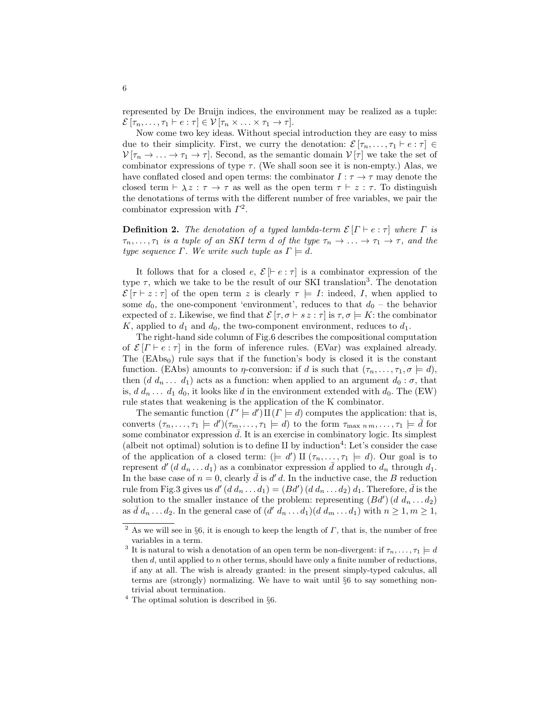represented by De Bruijn indices, the environment may be realized as a tuple:  $\mathcal{E}[\tau_n, \ldots, \tau_1 \vdash e : \tau] \in \mathcal{V}[\tau_n \times \ldots \times \tau_1 \rightarrow \tau].$ 

Now come two key ideas. Without special introduction they are easy to miss due to their simplicity. First, we curry the denotation:  $\mathcal{E}[\tau_n, \ldots, \tau_1 \vdash e : \tau] \in$  $V[\tau_n \to \ldots \to \tau_1 \to \tau]$ . Second, as the semantic domain  $V[\tau]$  we take the set of combinator expressions of type  $\tau$ . (We shall soon see it is non-empty.) Alas, we have conflated closed and open terms: the combinator  $I : \tau \to \tau$  may denote the closed term  $\vdash \lambda z : \tau \to \tau$  as well as the open term  $\tau \vdash z : \tau$ . To distinguish the denotations of terms with the different number of free variables, we pair the combinator expression with  $\Gamma^2$ .

**Definition 2.** The denotation of a typed lambda-term  $\mathcal{E}[F \vdash e : \tau]$  where  $\Gamma$  is  $\tau_n, \ldots, \tau_1$  is a tuple of an SKI term d of the type  $\tau_n \to \ldots \to \tau_1 \to \tau$ , and the type sequence  $\Gamma$ . We write such tuple as  $\Gamma \models d$ .

It follows that for a closed  $e, \mathcal{E} \models e : \tau$  is a combinator expression of the type  $\tau$ , which we take to be the result of our SKI translation<sup>3</sup>. The denotation  $\mathcal{E}[\tau \vdash z : \tau]$  of the open term z is clearly  $\tau \models I:$  indeed, I, when applied to some  $d_0$ , the one-component 'environment', reduces to that  $d_0$  – the behavior expected of z. Likewise, we find that  $\mathcal{E}[\tau, \sigma \vdash s z : \tau]$  is  $\tau, \sigma \models K$ : the combinator K, applied to  $d_1$  and  $d_0$ , the two-component environment, reduces to  $d_1$ .

The right-hand side column of Fig.6 describes the compositional computation of  $\mathcal{E}[T \vdash e : \tau]$  in the form of inference rules. (EVar) was explained already. The  $(EAbs<sub>0</sub>)$  rule says that if the function's body is closed it is the constant function. (EAbs) amounts to  $\eta$ -conversion: if d is such that  $(\tau_n, \ldots, \tau_1, \sigma \models d)$ , then  $(d d_n ... d_1)$  acts as a function: when applied to an argument  $d_0 : \sigma$ , that is,  $d d_n \ldots d_1 d_0$ , it looks like d in the environment extended with  $d_0$ . The (EW) rule states that weakening is the application of the K combinator.

The semantic function  $(\Gamma' \models d') \amalg (\Gamma \models d)$  computes the application: that is, converts  $(\tau_n, \ldots, \tau_1 \models d')(\tau_m, \ldots, \tau_1 \models d)$  to the form  $\tau_{\max n m}, \ldots, \tau_1 \models d$  for some combinator expression  $\bar{d}$ . It is an exercise in combinatory logic. Its simplest (albeit not optimal) solution is to define  $II$  by induction<sup>4</sup>: Let's consider the case of the application of a closed term:  $(= d') \amalg (\tau_n, \ldots, \tau_1 \models d)$ . Our goal is to represent  $d'$  (d  $d_n \ldots d_1$ ) as a combinator expression  $\overline{d}$  applied to  $d_n$  through  $d_1$ . In the base case of  $n = 0$ , clearly  $\bar{d}$  is d'd. In the inductive case, the B reduction rule from Fig.3 gives us  $d'$   $(d\,d_n \ldots d_1) = (Bd') (d\,d_n \ldots d_2) d_1$ . Therefore,  $\bar{d}$  is the solution to the smaller instance of the problem: representing  $(Bd')$   $(d d_n ... d_2)$ as  $\bar{d} d_n \ldots d_2$ . In the general case of  $(d' d_n \ldots d_1)(d d_m \ldots d_1)$  with  $n \geq 1, m \geq 1$ ,

<sup>&</sup>lt;sup>2</sup> As we will see in §6, it is enough to keep the length of  $\Gamma$ , that is, the number of free variables in a term.

<sup>&</sup>lt;sup>3</sup> It is natural to wish a denotation of an open term be non-divergent: if  $\tau_n, \ldots, \tau_1 \models d$ then  $d$ , until applied to  $n$  other terms, should have only a finite number of reductions, if any at all. The wish is already granted: in the present simply-typed calculus, all terms are (strongly) normalizing. We have to wait until §6 to say something nontrivial about termination.

 $4$  The optimal solution is described in  $\S6$ .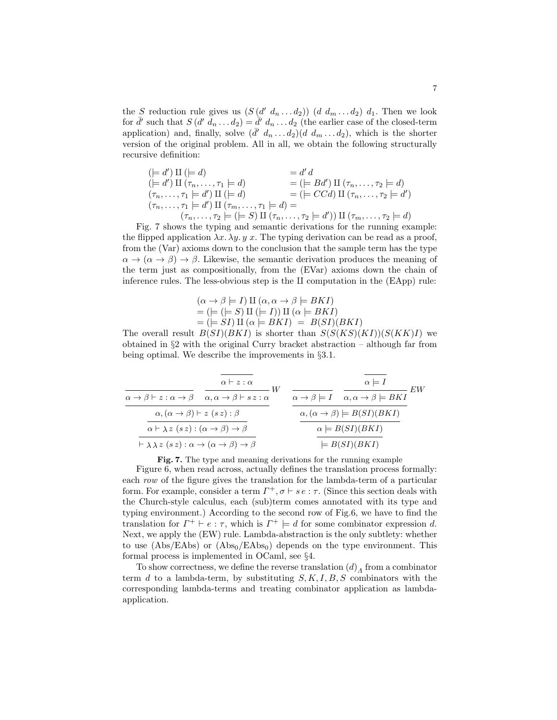the S reduction rule gives us  $(S(d' d_n ... d_2))$   $(d d_m ... d_2) d_1$ . Then we look for  $\bar{d}'$  such that  $S(d' \bar{d}_n \ldots d_2) = \bar{d}' d_n \ldots d_2$  (the earlier case of the closed-term application) and, finally, solve  $(\bar{d}' d_n \ldots d_2)(d d_n \ldots d_2)$ , which is the shorter version of the original problem. All in all, we obtain the following structurally recursive definition:

$$
\begin{array}{ll}\n(\models d') \amalg (\models d) & = d' d \\
(\models d') \amalg (\tau_n, \dots, \tau_1 \models d) & = (\models Bd') \amalg (\tau_n, \dots, \tau_2 \models d) \\
(\tau_n, \dots, \tau_1 \models d') \amalg (\models d) & = (\models CCd) \amalg (\tau_n, \dots, \tau_2 \models d') \\
(\tau_n, \dots, \tau_1 \models d') \amalg (\tau_m, \dots, \tau_1 \models d) = \\
(\tau_n, \dots, \tau_2 \models (\models S) \amalg (\tau_n, \dots, \tau_2 \models d')) \amalg (\tau_m, \dots, \tau_2 \models d)\n\end{array}
$$

Fig. 7 shows the typing and semantic derivations for the running example: the flipped application  $\lambda x.\lambda y.\,y.\,x.$  The typing derivation can be read as a proof, from the (Var) axioms down to the conclusion that the sample term has the type  $\alpha \to (\alpha \to \beta) \to \beta$ . Likewise, the semantic derivation produces the meaning of the term just as compositionally, from the (EVar) axioms down the chain of inference rules. The less-obvious step is the  $II$  computation in the  $(EApp)$  rule:

$$
(\alpha \to \beta \models I) \amalg (\alpha, \alpha \to \beta \models BKI)
$$
  
= ( $\models (\models S) \amalg (\models I)) \amalg (\alpha \models BKI)$   
= ( $\models SI$ )  $\amalg (\alpha \models BKI) = B(SI)(BKI)$ 

The overall result  $B(SI)(BKI)$  is shorter than  $S(S(KS)(KI))(S(KK)I)$  we obtained in §2 with the original Curry bracket abstraction – although far from being optimal. We describe the improvements in §3.1.

| $\alpha \vdash z : \alpha$<br>$\alpha \rightarrow \beta \vdash z : \alpha \rightarrow \beta \quad \alpha, \alpha \rightarrow \beta \vdash s z : \alpha$ | $\alpha \models I$<br>ЕW<br>$\alpha \rightarrow \beta \models I \quad \alpha, \alpha \rightarrow \beta \models BKI$ |
|---------------------------------------------------------------------------------------------------------------------------------------------------------|---------------------------------------------------------------------------------------------------------------------|
| $\alpha, (\alpha \rightarrow \beta) \vdash z (sz) : \beta$                                                                                              | $\alpha, (\alpha \rightarrow \beta) \models B(SI)(BKI)$                                                             |
| $\alpha \vdash \lambda z$ $(sz)$ : $(\alpha \rightarrow \beta) \rightarrow \beta$                                                                       | $\alpha \models B(SI)(BKI)$                                                                                         |
| $\vdash \lambda \lambda z$ $(sz) : \alpha \rightarrow (\alpha \rightarrow \beta) \rightarrow \beta$                                                     | $= B(SI)(BKI)$                                                                                                      |

Fig. 7. The type and meaning derivations for the running example

Figure 6, when read across, actually defines the translation process formally: each row of the figure gives the translation for the lambda-term of a particular form. For example, consider a term  $\Gamma^+$ ,  $\sigma \vdash s \, e : \tau$ . (Since this section deals with the Church-style calculus, each (sub)term comes annotated with its type and typing environment.) According to the second row of Fig.6, we have to find the translation for  $\Gamma^+ \vdash e : \tau$ , which is  $\Gamma^+ \models d$  for some combinator expression d. Next, we apply the (EW) rule. Lambda-abstraction is the only subtlety: whether to use  $(Abs/EAbs)$  or  $(Abs_0/EAbs_0)$  depends on the type environment. This formal process is implemented in OCaml, see §4.

To show correctness, we define the reverse translation  $(d)_A$  from a combinator term d to a lambda-term, by substituting  $S, K, I, B, S$  combinators with the corresponding lambda-terms and treating combinator application as lambdaapplication.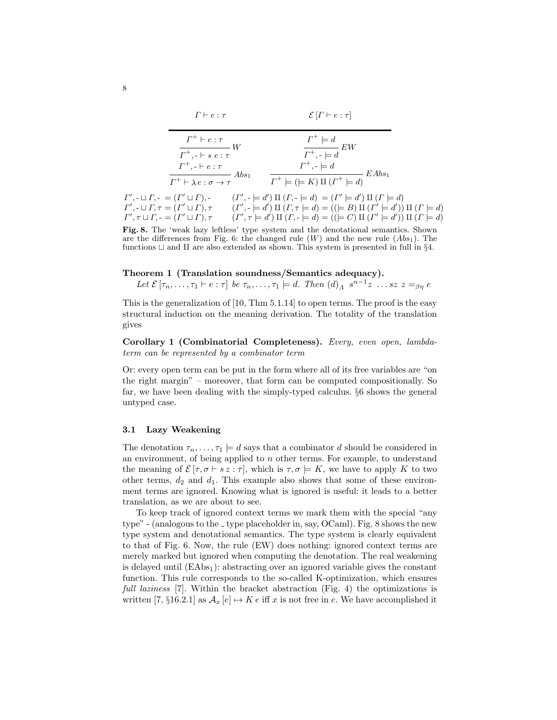$$
\Gamma \vdash e : \tau \qquad \qquad \mathcal{E} \left[ \Gamma \vdash e : \tau \right]
$$

$$
\mathcal{E}\left[\varGamma\vdash e:\tau\right]
$$

| $\Gamma^+ \vdash e : \tau$                            | $\Gamma^+ \models d$                                                     |
|-------------------------------------------------------|--------------------------------------------------------------------------|
| $\varGamma^{+}$ , - $\vdash s\ e : \tau$              | $\Gamma^+$ , - $\models d$                                               |
| $\Gamma^+$ , - $\vdash e : \tau$                      | $\Gamma^+$ , - $\models d$                                               |
| Absı<br>$\Gamma^+ \vdash \lambda e : \sigma \to \tau$ | $EAbs_{1}$<br>$\Gamma^+ \models (\models K) \amalg (\Gamma^+ \models d)$ |

| $\Gamma', -\sqcup \Gamma, - = (\Gamma' \sqcup \Gamma), -$            | $(\Gamma', - \models d') \amalg (\Gamma, - \models d) = (\Gamma' \models d') \amalg (\Gamma \models d)$                         |
|----------------------------------------------------------------------|---------------------------------------------------------------------------------------------------------------------------------|
| $\Gamma', -\sqcup \Gamma, \tau = (\Gamma' \sqcup \Gamma), \tau$      | $(\Gamma', - \models d') \amalg (\Gamma, \tau \models d) = ((\models B) \amalg (\Gamma' \models d')) \amalg (\Gamma \models d)$ |
| $\Gamma', \tau \sqcup \Gamma, \cdot = (\Gamma' \sqcup \Gamma), \tau$ | $(\Gamma', \tau \models d') \amalg (\Gamma, - \models d) = ((\models C) \amalg (\Gamma' \models d')) \amalg (\Gamma \models d)$ |

Fig. 8. The 'weak lazy leftless' type system and the denotational semantics. Shown are the differences from Fig. 6: the changed rule  $(W)$  and the new rule  $(Abs<sub>1</sub>)$ . The functions  $\sqcup$  and II are also extended as shown. This system is presented in full in §4.

#### Theorem 1 (Translation soundness/Semantics adequacy).

Let  $\mathcal{E}[\tau_n, \ldots, \tau_1 \vdash e : \tau]$  be  $\tau_n, \ldots, \tau_1 \models d$ . Then  $(d)_A$   $s^{n-1}z \ldots sz z =_{\beta\eta} e$ 

This is the generalization of [10, Thm 5.1.14] to open terms. The proof is the easy structural induction on the meaning derivation. The totality of the translation gives

Corollary 1 (Combinatorial Completeness). Every, even open, lambdaterm can be represented by a combinator term

Or: every open term can be put in the form where all of its free variables are "on the right margin" – moreover, that form can be computed compositionally. So far, we have been dealing with the simply-typed calculus. §6 shows the general untyped case.

#### 3.1 Lazy Weakening

The denotation  $\tau_n, \ldots, \tau_1 \models d$  says that a combinator d should be considered in an environment, of being applied to  $n$  other terms. For example, to understand the meaning of  $\mathcal{E}[\tau, \sigma \vdash s z : \tau]$ , which is  $\tau, \sigma \models K$ , we have to apply K to two other terms,  $d_2$  and  $d_1$ . This example also shows that some of these environment terms are ignored. Knowing what is ignored is useful: it leads to a better translation, as we are about to see.

To keep track of ignored context terms we mark them with the special "any type" - (analogous to the  $\mathsf{\_}$  type placeholder in, say, OCaml). Fig. 8 shows the new type system and denotational semantics. The type system is clearly equivalent to that of Fig. 6. Now, the rule (EW) does nothing: ignored context terms are merely marked but ignored when computing the denotation. The real weakening is delayed until  $(EAbs<sub>1</sub>)$ : abstracting over an ignored variable gives the constant function. This rule corresponds to the so-called K-optimization, which ensures full laziness [7]. Within the bracket abstraction (Fig. 4) the optimizations is written [7, §16.2.1] as  $\mathcal{A}_x[e] \mapsto K e$  iff x is not free in e. We have accomplished it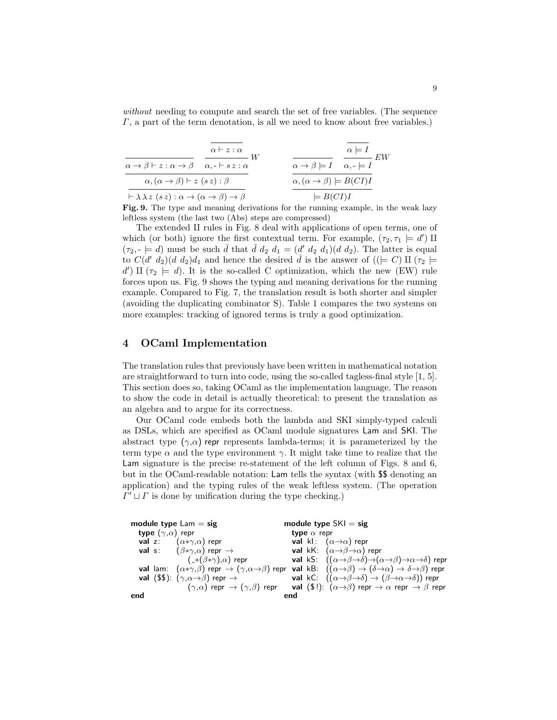without needing to compute and search the set of free variables. (The sequence  $\Gamma$ , a part of the term denotation, is all we need to know about free variables.)

$$
\frac{\overline{\alpha \mapsto \beta \vdash z : \alpha \rightarrow \beta} \quad \overline{\alpha \mapsto z : \alpha}}{\alpha, (\alpha \rightarrow \beta) \vdash z (s z) : \beta}
$$
\n
$$
\overline{\alpha \mapsto \beta \vdash I} \quad \overline{\alpha \mapsto \beta \vdash I} \quad \overline{\alpha \mapsto z}
$$
\n
$$
\overline{\alpha \mapsto \beta \vdash I} \quad \overline{\alpha, \beta \vdash I} \quad EW
$$
\n
$$
\overline{\alpha, (\alpha \rightarrow \beta) \vdash B(CI)I}
$$
\n
$$
\overline{\alpha, (\alpha \rightarrow \beta) \vdash B(CI)I}
$$

Fig. 9. The type and meaning derivations for the running example, in the weak lazy leftless system (the last two (Abs) steps are compressed)

The extended II rules in Fig. 8 deal with applications of open terms, one of which (or both) ignore the first contextual term. For example,  $(\tau_2, \tau_1 \models d')$  II  $(\tau_2, -\models d)$  must be such  $\bar{d}$  that  $\bar{d} d_2 d_1 = (d' d_2 d_1)(d d_2)$ . The latter is equal to  $C(d' d_2)(d d_2)d_1$  and hence the desired  $\overline{d}$  is the answer of ( $\models C$ ) II  $(\tau_2 \models$ d') II  $(\tau_2 \models d)$ . It is the so-called C optimization, which the new (EW) rule forces upon us. Fig. 9 shows the typing and meaning derivations for the running example. Compared to Fig. 7, the translation result is both shorter and simpler (avoiding the duplicating combinator S). Table 1 compares the two systems on more examples: tracking of ignored terms is truly a good optimization.

### 4 OCaml Implementation

The translation rules that previously have been written in mathematical notation are straightforward to turn into code, using the so-called tagless-final style [1, 5]. This section does so, taking OCaml as the implementation language. The reason to show the code in detail is actually theoretical: to present the translation as an algebra and to argue for its correctness.

Our OCaml code embeds both the lambda and SKI simply-typed calculi as DSLs, which are specified as OCaml module signatures Lam and SKI. The abstract type  $(\gamma,\alpha)$  repr represents lambda-terms; it is parameterized by the term type  $\alpha$  and the type environment  $\gamma$ . It might take time to realize that the Lam signature is the precise re-statement of the left column of Figs. 8 and 6, but in the OCaml-readable notation: Lam tells the syntax (with \$\$ denoting an application) and the typing rules of the weak leftless system. (The operation  $\Gamma' \sqcup \Gamma$  is done by unification during the type checking.)

```
module type \text{Lam} = \text{sig}type (\gamma, \alpha) repr
    val z: (\alpha *\gamma,\alpha) repr
    val s: (\beta*\gamma,\alpha) repr \rightarrow({}_{-*}(\beta*\gamma),\alpha) repr
     val lam: (\alpha*\gamma,\beta) repr \rightarrow (\gamma,\alpha\rightarrow\beta) repr val kB:
    val ($$): (\gamma, \alpha \rightarrow \beta) repr \rightarrow(\gamma,\alpha) repr \rightarrow (\gamma,\beta) repr
end
                                                                                          module type SKI = sigtype \alpha repr
                                                                                               val kl: (\alpha \rightarrow \alpha) repr
                                                                                               val kK: (\alpha \rightarrow \beta \rightarrow \alpha) repr
                                                                                               val kS: ((\alpha \rightarrow \beta \rightarrow \delta) \rightarrow (\alpha \rightarrow \beta) \rightarrow \alpha \rightarrow \delta) repr
                                                                                                                  ((\alpha \rightarrow \beta) \rightarrow (\delta \rightarrow \alpha) \rightarrow \delta \rightarrow \beta) repr
                                                                                               val kC: ((\alpha \rightarrow \beta \rightarrow \delta) \rightarrow (\beta \rightarrow \alpha \rightarrow \delta)) repr
                                                                                               val ($!): (\alpha \rightarrow \beta) repr \rightarrow \alpha repr \rightarrow \beta repr
                                                                                          end
```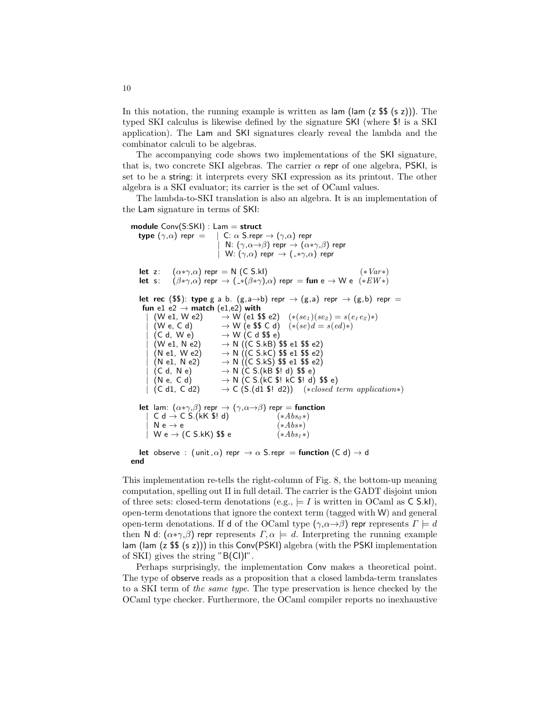In this notation, the running example is written as lam (lam (z \$\$ (s z))). The typed SKI calculus is likewise defined by the signature SKI (where \$! is a SKI application). The Lam and SKI signatures clearly reveal the lambda and the combinator calculi to be algebras.

The accompanying code shows two implementations of the SKI signature, that is, two concrete SKI algebras. The carrier  $\alpha$  repr of one algebra, PSKI, is set to be a string: it interprets every SKI expression as its printout. The other algebra is a SKI evaluator; its carrier is the set of OCaml values.

The lambda-to-SKI translation is also an algebra. It is an implementation of the Lam signature in terms of SKI:

module Conv(S:SKI) : Lam = struct type  $(\gamma,\alpha)$  repr = | C:  $\alpha$  S.repr  $\rightarrow$   $(\gamma,\alpha)$  repr N:  $(\gamma, \alpha \rightarrow \beta)$  repr  $\rightarrow (\alpha * \gamma, \beta)$  repr W:  $(\gamma,\alpha)$  repr  $\rightarrow$  ( \* $\gamma,\alpha$ ) repr let z:  $(\alpha * \gamma, \alpha)$  repr = N (C S.kl) (\*  $Var*$ ) let s:  $(\beta*\gamma,\alpha)$  repr  $\rightarrow$   $(\frac{1}{2}(\beta*\gamma),\alpha)$  repr = fun e  $\rightarrow$  W e  $(\frac{1}{2}kEW*\gamma)$ let rec (\$\$): type g a b.  $(g, a \rightarrow b)$  repr  $\rightarrow (g, a)$  repr  $\rightarrow (g, b)$  repr = fun e1 e2  $\rightarrow$  match (e1,e2) with  $(W \text{ e1, W e2}) \rightarrow W \text{ (e1 $$ e2}) \quad (*(se_1)(se_2) = s(e_1 e_2)*)$ <br>  $(W \text{ e, C d}) \rightarrow W \text{ (e $$ C d)} \quad (*(se)d = s(ed)*)$  $(W e, C d)$   $\rightarrow W (e $S C d)$   $(*(se)d = s(ed)*)$  $(C d, W e)$   $\rightarrow W (C d $f e)$  $(W \text{ e1, N e2}) \rightarrow N ((C \text{ S.kB}) \text{ $$4 \text{ s}$e1} \text{ $$6 \text{ e2}$})$  $(N \text{ e1, W} \text{ e2}) \rightarrow N \text{ } ((C \text{ S.kC}) \text{ $$4 \text{ e1}$ \text{ $$8$ e2}$})$  $(N \text{ el}, N \text{ e2}) \rightarrow N ((C \text{ S.kS}) \text{ $4$} \text{ e1 $4$} \text{ e2})$  $(C d, N e)$   $\rightarrow N (C S (kB $! d) $$  $|\begin{array}{ccc} (N\; e,\; C\; d) & \to N \;(C\; S. (kC\; \$!\; !\; kC\; \$! \; d) \; \$\$ \; e) \ (C\; d1,\; C\; d2) & \to C \;(S.(d1\; \$! \; d2)) & (*closed \; t) \end{array}$  $\rightarrow$  C (S (d1 \$! d2)) (\*closed term application\*) let lam:  $(\alpha * \gamma, \beta)$  repr  $\rightarrow (\gamma, \alpha \rightarrow \beta)$  repr = function  $C d \rightarrow C S.(kK \rvert d)$  (\* $Abs_{0}$ \*) N e → e (\* $Abs*$ )<br>W e → (C S kK) \$\$ e (\* $Abs*$ )  $\mathsf{I}$  W e  $\rightarrow$  (C S.kK) \$\$ e let observe : (unit,  $\alpha$ ) repr  $\rightarrow \alpha$  S. repr = function (C d)  $\rightarrow$  d end

This implementation re-tells the right-column of Fig. 8, the bottom-up meaning computation, spelling out II in full detail. The carrier is the GADT disjoint union of three sets: closed-term denotations (e.g.,  $= I$  is written in OCaml as C S.kl), open-term denotations that ignore the context term (tagged with W) and general open-term denotations. If d of the OCaml type  $(\gamma, \alpha \rightarrow \beta)$  repr represents  $\Gamma \models d$ then N d:  $(\alpha * \gamma, \beta)$  repr represents  $\Gamma, \alpha \models d$ . Interpreting the running example lam (lam (z \$\$ (s z))) in this Conv(PSKI) algebra (with the PSKI implementation of SKI) gives the string "B(CI)I".

Perhaps surprisingly, the implementation Conv makes a theoretical point. The type of observe reads as a proposition that a closed lambda-term translates to a SKI term of the same type. The type preservation is hence checked by the OCaml type checker. Furthermore, the OCaml compiler reports no inexhaustive

10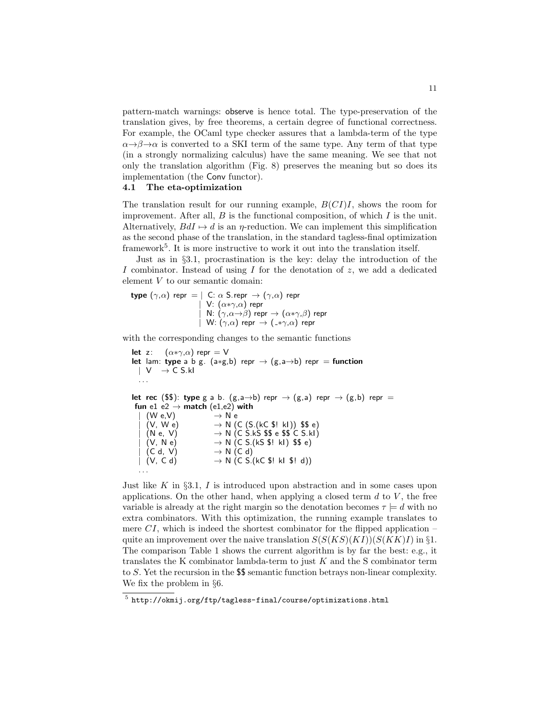pattern-match warnings: observe is hence total. The type-preservation of the translation gives, by free theorems, a certain degree of functional correctness. For example, the OCaml type checker assures that a lambda-term of the type  $\alpha \rightarrow \beta \rightarrow \alpha$  is converted to a SKI term of the same type. Any term of that type (in a strongly normalizing calculus) have the same meaning. We see that not only the translation algorithm (Fig. 8) preserves the meaning but so does its implementation (the Conv functor).

#### 4.1 The eta-optimization

The translation result for our running example,  $B(Cl)I$ , shows the room for improvement. After all,  $B$  is the functional composition, of which  $I$  is the unit. Alternatively,  $BdI \mapsto d$  is an  $\eta$ -reduction. We can implement this simplification as the second phase of the translation, in the standard tagless-final optimization framework<sup>5</sup>. It is more instructive to work it out into the translation itself.

Just as in §3.1, procrastination is the key: delay the introduction of the I combinator. Instead of using I for the denotation of  $z$ , we add a dedicated element V to our semantic domain:

type  $(\gamma, \alpha)$  repr = | C:  $\alpha$  S.repr  $\rightarrow$   $(\gamma, \alpha)$  repr  $\mid$  V:  $(\alpha * \gamma,\alpha)$  repr  $\; \mid \; {\sf N}\!\!: \, (\gamma , \alpha {\to} \beta ) \;$ repr $\;\rightarrow\; (\alpha {\ast} \gamma , \beta ) \;$ repr  $\mid \text{ W: } (\gamma, \alpha)$  repr  $\rightarrow$   $(\, \texttt{I} \ast \gamma, \alpha)$  repr

with the corresponding changes to the semantic functions

```
let z: (\alpha * \gamma, \alpha) repr = V
let lam: type a b g. (a*g,b) repr \rightarrow (g,a\rightarrowb) repr = function
  | V \rightarrow C S.kI. . .
let rec ($$): type g a b. (g,a→b) repr \rightarrow (g,a) repr \rightarrow (g,b) repr =
 fun e1 e2 \rightarrow match (e1,e2) with
     (W e, V) \rightarrow N e<br>
(V, W e) \rightarrow N (
                              \rightarrow N (C (S.(kC $! kI)) $$ e)
     (N e, V) \rightarrow N (C S.kS $$ e $$ C S.kI)<br>(V, N e) \rightarrow N (C S.(kS $! kI) $$ e)
                              \rightarrow N (C S.(kS $! kI) $$ e)
     (C d, V) \rightarrow N (C d)|(V, C d) \rightarrow N (C S (kC S! kI S! d)). . .
```
Just like  $K$  in §3.1,  $I$  is introduced upon abstraction and in some cases upon applications. On the other hand, when applying a closed term  $d$  to  $V$ , the free variable is already at the right margin so the denotation becomes  $\tau \models d$  with no extra combinators. With this optimization, the running example translates to mere  $CI$ , which is indeed the shortest combinator for the flipped application – quite an improvement over the naive translation  $S(S(KS)(KI))(S(KK)I)$  in §1. The comparison Table 1 shows the current algorithm is by far the best: e.g., it translates the K combinator lambda-term to just  $K$  and the S combinator term to S. Yet the recursion in the \$\$ semantic function betrays non-linear complexity. We fix the problem in §6.

 $^5$  http://okmij.org/ftp/tagless-final/course/optimizations.html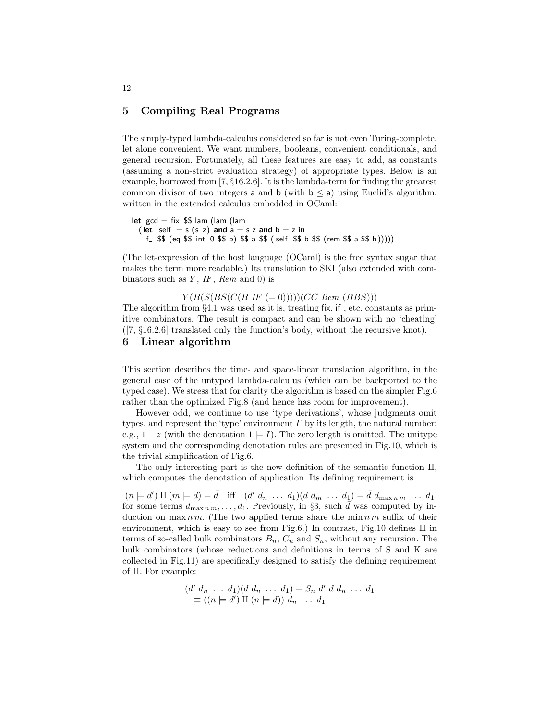# 5 Compiling Real Programs

The simply-typed lambda-calculus considered so far is not even Turing-complete, let alone convenient. We want numbers, booleans, convenient conditionals, and general recursion. Fortunately, all these features are easy to add, as constants (assuming a non-strict evaluation strategy) of appropriate types. Below is an example, borrowed from [7, §16.2.6]. It is the lambda-term for finding the greatest common divisor of two integers a and b (with  $b \le a$ ) using Euclid's algorithm, written in the extended calculus embedded in OCaml:

```
let gcd = fix $$ lam (lam (lam
  (let self = s (s \ z) and a = s \ z and b = z in
  if 55 (eq 55 int 0 55 b) 55 a 55 (self 55 b 55 (rem 55 a 55 b)))))
```
(The let-expression of the host language (OCaml) is the free syntax sugar that makes the term more readable.) Its translation to SKI (also extended with combinators such as  $Y$ , IF, Rem and 0) is

 $Y(B(S(BS(C(B \text{ IF } (= 0)))))(CC \text{Rem } (BBS)))$ 

The algorithm from §4.1 was used as it is, treating fix, if\_, etc. constants as primitive combinators. The result is compact and can be shown with no 'cheating' ([7, §16.2.6] translated only the function's body, without the recursive knot).

### 6 Linear algorithm

This section describes the time- and space-linear translation algorithm, in the general case of the untyped lambda-calculus (which can be backported to the typed case). We stress that for clarity the algorithm is based on the simpler Fig.6 rather than the optimized Fig.8 (and hence has room for improvement).

However odd, we continue to use 'type derivations', whose judgments omit types, and represent the 'type' environment  $\Gamma$  by its length, the natural number: e.g.,  $1 \vdash z$  (with the denotation  $1 \models I$ ). The zero length is omitted. The unitype system and the corresponding denotation rules are presented in Fig.10, which is the trivial simplification of Fig.6.

The only interesting part is the new definition of the semantic function  $II$ , which computes the denotation of application. Its defining requirement is

 $(n \models d') \amalg (m \models d) = \bar{d}$  iff  $(d' d_n ... d_1)(d d_m ... d_1) = \bar{d} d_{\max n m} ... d_1$ for some terms  $d_{\max n m}, \ldots, d_1$ . Previously, in §3, such  $\bar{d}$  was computed by induction on max  $n \, m$ . (The two applied terms share the min  $n \, m$  suffix of their environment, which is easy to see from Fig.6.) In contrast, Fig.10 defines  $II$  in terms of so-called bulk combinators  $B_n$ ,  $C_n$  and  $S_n$ , without any recursion. The bulk combinators (whose reductions and definitions in terms of S and K are collected in Fig.11) are specifically designed to satisfy the defining requirement of II. For example:

$$
(d' d_n \dots d_1)(d d_n \dots d_1) = S_n d' d d_n \dots d_1
$$
  
  $\equiv ((n \models d') \amalg (n \models d)) d_n \dots d_1$ 

12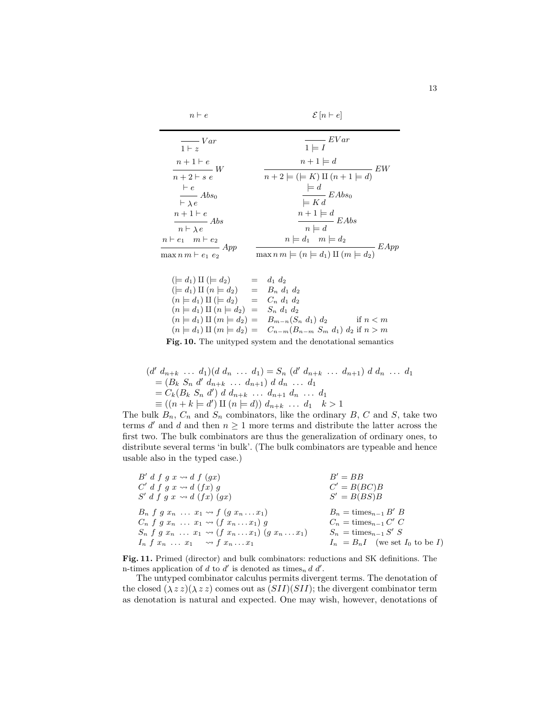| 1<br>v<br>۰. | ٠ |
|--------------|---|
|--------------|---|

 $\mathcal{E} \left[ n \vdash e \right]$ 

| $ Var$<br>$1 \vdash z$                               | $-$ EV ar<br>$1 \models I$                                |
|------------------------------------------------------|-----------------------------------------------------------|
| $n+1 \vdash e$<br>$\frac{1}{1}$ W                    | $n+1 \models d$<br>ЕW                                     |
| $n+2 \vdash s$ e                                     | $n+2 \models (\models K) \amalg (n+1 \models d)$          |
| $\vdash e$<br>$\longrightarrow$ Abso                 | $= d$<br>$\xrightarrow{EAbs_0}$                           |
| $\vdash \lambda e$                                   | $\models K d$                                             |
| $n+1 \vdash e$<br>$\longrightarrow$ Abs              | $n+1 \models d$<br>$\longrightarrow EAbs$                 |
| $n \vdash \lambda e$                                 | $n \models d$                                             |
| $n \vdash e_1 \quad m \vdash e_2$<br>$-$ App         | $n \models d_1 \quad m \models d_2$<br>EApp               |
| $\max n m \vdash e_1 e_2$                            | $\max n m \models (n \models d_1) \amalg (m \models d_2)$ |
|                                                      |                                                           |
| $(\models d_1) \amalg (\models d_2) = d_1 d_2$       |                                                           |
| $(\models d_1) \amalg (n \models d_2) = B_n d_1 d_2$ |                                                           |

$$
(\models d_1) \amalg (n \models d_2) = B_n d_1 d_2 \n(n \models d_1) \amalg (\models d_2) = C_n d_1 d_2 \n(n \models d_1) \amalg (n \models d_2) = S_n d_1 d_2 \n(n \models d_1) \amalg (m \models d_2) = B_{m-n}(S_n d_1) d_2 \text{ if } n < m \n(n \models d_1) \amalg (m \models d_2) = C_{n-m}(B_{n-m} S_m d_1) d_2 \text{ if } n > m
$$

Fig. 10. The unityped system and the denotational semantics

$$
(d' d_{n+k} \dots d_1)(d d_n \dots d_1) = S_n (d' d_{n+k} \dots d_{n+1}) d d_n \dots d_1
$$
  
=  $(B_k S_n d' d_{n+k} \dots d_{n+1}) d d_n \dots d_1$   
=  $C_k (B_k S_n d') d d_{n+k} \dots d_{n+1} d_n \dots d_1$   
\equiv  $((n+k \mid d') \amalg (n \mid d)) d_{n+k} \dots d_1 k > 1$ 

The bulk  $B_n$ ,  $C_n$  and  $S_n$  combinators, like the ordinary B, C and S, take two terms  $d'$  and  $d$  and then  $n \geq 1$  more terms and distribute the latter across the first two. The bulk combinators are thus the generalization of ordinary ones, to distribute several terms 'in bulk'. (The bulk combinators are typeable and hence usable also in the typed case.)

| $B' d f g x \rightsquigarrow d f (gx)$                                                  | $B' = BB$                            |
|-----------------------------------------------------------------------------------------|--------------------------------------|
| $C' d f g x \rightsquigarrow d (fx) g$                                                  | $C' = B(BC)B$                        |
| $S' d f g x \rightsquigarrow d(fx) (gx)$                                                | $S' = B(BS)B$                        |
| $B_n f g x_n \ldots x_1 \rightsquigarrow f (g x_n \ldots x_1)$                          | $B_n = \text{times}_{n-1} B' B$      |
| $C_n$ f g $x_n$ $\ldots$ $x_1 \rightsquigarrow (f x_n \ldots x_1)$ g                    | $C_n = \text{times}_{n-1} C' C$      |
| $S_n$ f g $x_n$ $\ldots$ $x_1 \rightsquigarrow (f x_n \ldots x_1)$ $(g x_n \ldots x_1)$ | $S_n = \text{times}_{n-1} S' S$      |
| $I_n$ f $x_n$ $x_1$ $\rightsquigarrow$ f $x_n \dots x_1$                                | $I_n = B_n I$ (we set $I_0$ to be I) |

Fig. 11. Primed (director) and bulk combinators: reductions and SK definitions. The n-times application of d to d' is denoted as times<sub>n</sub> d d'.

The untyped combinator calculus permits divergent terms. The denotation of the closed  $(\lambda z z)(\lambda z z)$  comes out as  $(SII)(SII)$ ; the divergent combinator term as denotation is natural and expected. One may wish, however, denotations of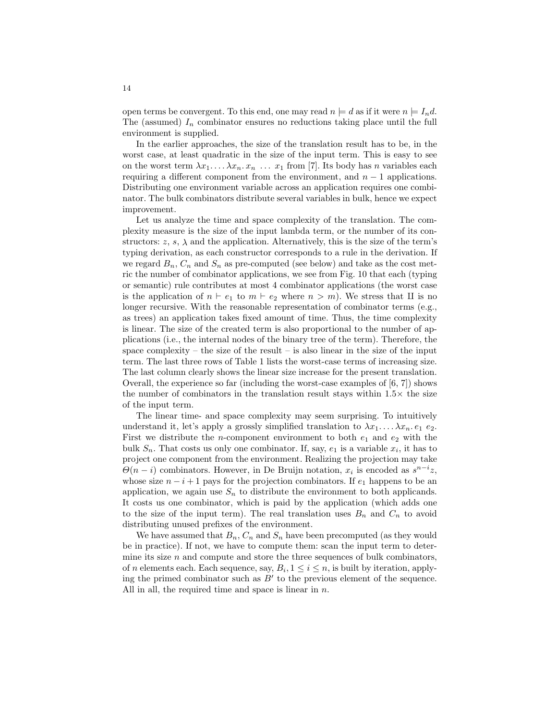open terms be convergent. To this end, one may read  $n \models d$  as if it were  $n \models I_n d$ . The (assumed)  $I_n$  combinator ensures no reductions taking place until the full environment is supplied.

In the earlier approaches, the size of the translation result has to be, in the worst case, at least quadratic in the size of the input term. This is easy to see on the worst term  $\lambda x_1 \ldots \lambda x_n$ .  $x_n \ldots x_1$  from [7]. Its body has n variables each requiring a different component from the environment, and  $n - 1$  applications. Distributing one environment variable across an application requires one combinator. The bulk combinators distribute several variables in bulk, hence we expect improvement.

Let us analyze the time and space complexity of the translation. The complexity measure is the size of the input lambda term, or the number of its constructors:  $z, s, \lambda$  and the application. Alternatively, this is the size of the term's typing derivation, as each constructor corresponds to a rule in the derivation. If we regard  $B_n$ ,  $C_n$  and  $S_n$  as pre-computed (see below) and take as the cost metric the number of combinator applications, we see from Fig. 10 that each (typing or semantic) rule contributes at most 4 combinator applications (the worst case is the application of  $n \vdash e_1$  to  $m \vdash e_2$  where  $n > m$ ). We stress that II is no longer recursive. With the reasonable representation of combinator terms (e.g., as trees) an application takes fixed amount of time. Thus, the time complexity is linear. The size of the created term is also proportional to the number of applications (i.e., the internal nodes of the binary tree of the term). Therefore, the space complexity – the size of the result – is also linear in the size of the input term. The last three rows of Table 1 lists the worst-case terms of increasing size. The last column clearly shows the linear size increase for the present translation. Overall, the experience so far (including the worst-case examples of  $(6, 7)$ ) shows the number of combinators in the translation result stays within  $1.5\times$  the size of the input term.

The linear time- and space complexity may seem surprising. To intuitively understand it, let's apply a grossly simplified translation to  $\lambda x_1 \ldots \lambda x_n$ .  $e_1$   $e_2$ . First we distribute the *n*-component environment to both  $e_1$  and  $e_2$  with the bulk  $S_n$ . That costs us only one combinator. If, say,  $e_1$  is a variable  $x_i$ , it has to project one component from the environment. Realizing the projection may take  $\Theta(n-i)$  combinators. However, in De Bruijn notation,  $x_i$  is encoded as  $s^{n-i}z$ , whose size  $n-i+1$  pays for the projection combinators. If  $e_1$  happens to be an application, we again use  $S_n$  to distribute the environment to both applicands. It costs us one combinator, which is paid by the application (which adds one to the size of the input term). The real translation uses  $B_n$  and  $C_n$  to avoid distributing unused prefixes of the environment.

We have assumed that  $B_n$ ,  $C_n$  and  $S_n$  have been precomputed (as they would be in practice). If not, we have to compute them: scan the input term to determine its size  $n$  and compute and store the three sequences of bulk combinators, of *n* elements each. Each sequence, say,  $B_i$ ,  $1 \leq i \leq n$ , is built by iteration, applying the primed combinator such as  $B'$  to the previous element of the sequence. All in all, the required time and space is linear in  $n$ .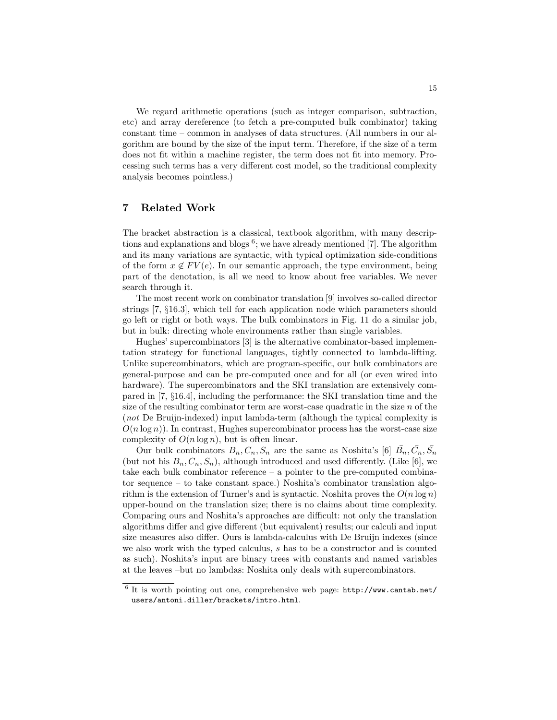We regard arithmetic operations (such as integer comparison, subtraction, etc) and array dereference (to fetch a pre-computed bulk combinator) taking constant time – common in analyses of data structures. (All numbers in our algorithm are bound by the size of the input term. Therefore, if the size of a term does not fit within a machine register, the term does not fit into memory. Processing such terms has a very different cost model, so the traditional complexity analysis becomes pointless.)

# 7 Related Work

The bracket abstraction is a classical, textbook algorithm, with many descriptions and explanations and blogs <sup>6</sup>; we have already mentioned [7]. The algorithm and its many variations are syntactic, with typical optimization side-conditions of the form  $x \notin FV(e)$ . In our semantic approach, the type environment, being part of the denotation, is all we need to know about free variables. We never search through it.

The most recent work on combinator translation [9] involves so-called director strings [7, §16.3], which tell for each application node which parameters should go left or right or both ways. The bulk combinators in Fig. 11 do a similar job, but in bulk: directing whole environments rather than single variables.

Hughes' supercombinators [3] is the alternative combinator-based implementation strategy for functional languages, tightly connected to lambda-lifting. Unlike supercombinators, which are program-specific, our bulk combinators are general-purpose and can be pre-computed once and for all (or even wired into hardware). The supercombinators and the SKI translation are extensively compared in [7, §16.4], including the performance: the SKI translation time and the size of the resulting combinator term are worst-case quadratic in the size  $n$  of the (not De Bruijn-indexed) input lambda-term (although the typical complexity is  $O(n \log n)$ . In contrast, Hughes supercombinator process has the worst-case size complexity of  $O(n \log n)$ , but is often linear.

Our bulk combinators  $B_n, C_n, S_n$  are the same as Noshita's [6]  $\overline{B}_n, \overline{C}_n, \overline{S}_n$ (but not his  $B_n, C_n, S_n$ ), although introduced and used differently. (Like [6], we take each bulk combinator reference – a pointer to the pre-computed combinator sequence – to take constant space.) Noshita's combinator translation algorithm is the extension of Turner's and is syntactic. Noshita proves the  $O(n \log n)$ upper-bound on the translation size; there is no claims about time complexity. Comparing ours and Noshita's approaches are difficult: not only the translation algorithms differ and give different (but equivalent) results; our calculi and input size measures also differ. Ours is lambda-calculus with De Bruijn indexes (since we also work with the typed calculus, s has to be a constructor and is counted as such). Noshita's input are binary trees with constants and named variables at the leaves –but no lambdas: Noshita only deals with supercombinators.

 $6$  It is worth pointing out one, comprehensive web page:  $http://www.cantab.net/$ users/antoni.diller/brackets/intro.html.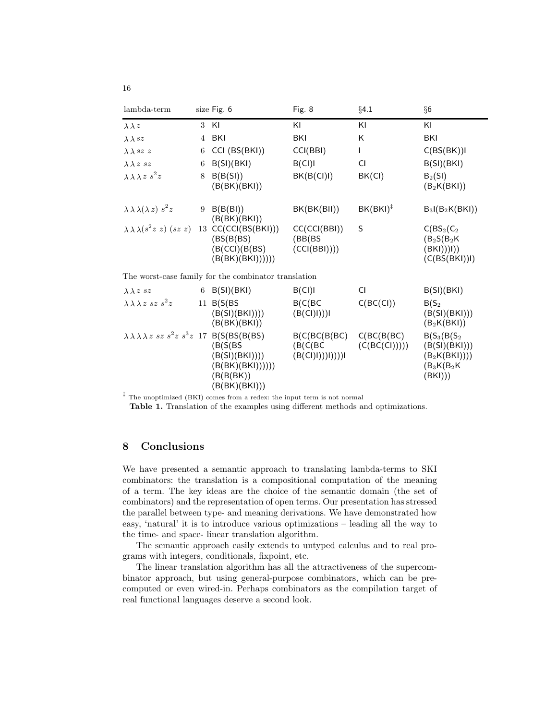| lambda-term                                                                               |         | size Fig. 6                                                                 | Fig. 8                                     | §4.1                     | $\S6$                                                                           |
|-------------------------------------------------------------------------------------------|---------|-----------------------------------------------------------------------------|--------------------------------------------|--------------------------|---------------------------------------------------------------------------------|
| $\lambda \lambda z$                                                                       | 3       | -KI                                                                         | KI                                         | ΚI                       | ΚI                                                                              |
| $\lambda\,\lambda\,sz$                                                                    | 4       | <b>BKI</b>                                                                  | <b>BKI</b>                                 | K                        | BKI                                                                             |
| $\lambda \lambda$ sz z                                                                    | 6       | CCI (BS(BKI))                                                               | CCI(BBI)                                   | L                        | C(BS(BK))I                                                                      |
| $\lambda \lambda z$ sz                                                                    | $\,6\,$ | B(SI)(BKI)                                                                  | B(Cl)I                                     | CI                       | B(SI)(BKI)                                                                      |
| $\lambda \lambda \lambda z s^2 z$                                                         | 8       | B(B(SI))<br>(B(BK)(BK))                                                     | BK(B(Cl)I)                                 | BK(Cl)                   | $B_2(SI)$<br>$(B_2K(BKI))$                                                      |
| $\lambda \lambda \lambda(\lambda z) s^2 z$                                                |         | $9$ B(B(BI))<br>(B(BK)(BK))                                                 | BK(BK(BII))                                | $BK(BKI)^{\ddagger}$     | $B_3I(B_2K(BKI))$                                                               |
| $\lambda \lambda \lambda (s^2 z z)$ (sz z)                                                |         | 13 CC(CCI(BS(BKI)))<br>(BS(B(BS))<br>(B(CCI)(B(BS)<br>(B(BK)(BK1))))        | CC(CCI(BBI))<br>(BB(BS)<br>(CCI(BBI))))    | S                        | C(BS <sub>2</sub> (C <sub>2</sub><br>$(B_2S(B_2K$<br>(BKI))I))<br>(C(BS(BKI))I) |
| The worst-case family for the combinator translation                                      |         |                                                                             |                                            |                          |                                                                                 |
| $\lambda \lambda z$ sz                                                                    | 6       | B(SI)(BKI)                                                                  | B(Cl)I                                     | CI                       | B(SI)(BKI)                                                                      |
| $\lambda \lambda \lambda z$ sz s <sup>2</sup> z                                           |         | 11 B(S(BS<br>(B(SI)(BKI))))<br>(B(BK)(BK))                                  | B(C(BC))<br>(B(Cl))                        | C(BC(Cl))                | $B(S_2)$<br>(B(SI)(BKI)))<br>$(B_2K(BKI))$                                      |
| $\lambda \lambda \lambda \lambda z$ sz s <sup>2</sup> z s <sup>3</sup> z 17 B(S(BS(B(BS)) |         | (B(S(BS<br>(B(SI)(BKI))))<br>(B(BK)(BK1)))))<br>(B(B(BK)))<br>(B(BK)(BKI))) | B(C(BC(B(BC))<br>(B(C(BC<br>(B(Cl) )) 1 )) | C(BC(BC)<br>(C(BC(Cl)))) | $B(S_3(B(S_2$<br>(B(SI)(BKI)))<br>$(B_2K(BKI))))$<br>$(B_3K(B_2K))$<br>(BKI)))  |

‡ The unoptimized (BKI) comes from a redex: the input term is not normal

Table 1. Translation of the examples using different methods and optimizations.

# 8 Conclusions

We have presented a semantic approach to translating lambda-terms to SKI combinators: the translation is a compositional computation of the meaning of a term. The key ideas are the choice of the semantic domain (the set of combinators) and the representation of open terms. Our presentation has stressed the parallel between type- and meaning derivations. We have demonstrated how easy, 'natural' it is to introduce various optimizations – leading all the way to the time- and space- linear translation algorithm.

The semantic approach easily extends to untyped calculus and to real programs with integers, conditionals, fixpoint, etc.

The linear translation algorithm has all the attractiveness of the supercombinator approach, but using general-purpose combinators, which can be precomputed or even wired-in. Perhaps combinators as the compilation target of real functional languages deserve a second look.